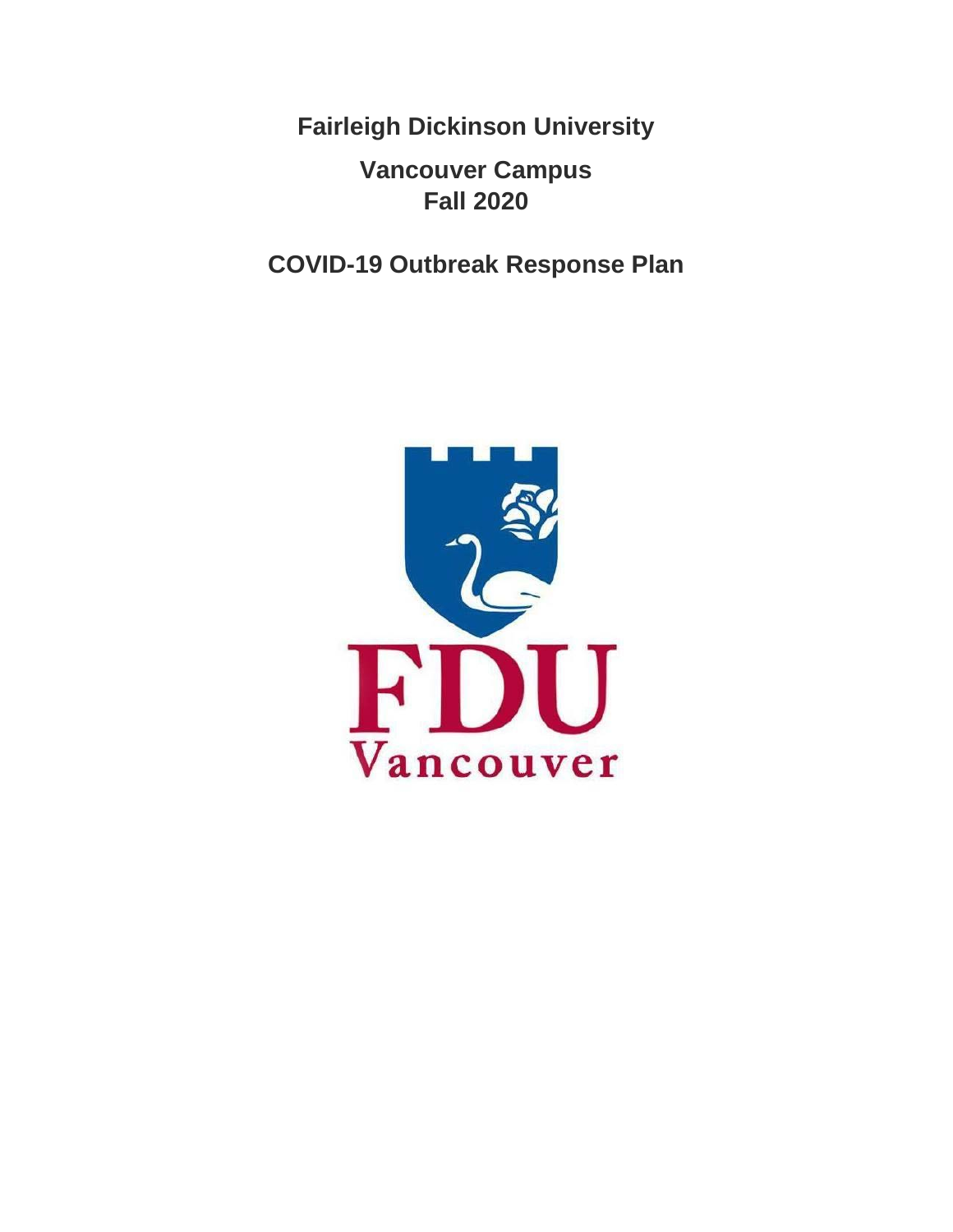**Fairleigh Dickinson University**

## **Vancouver Campus Fall 2020**

**COVID-19 Outbreak Response Plan**

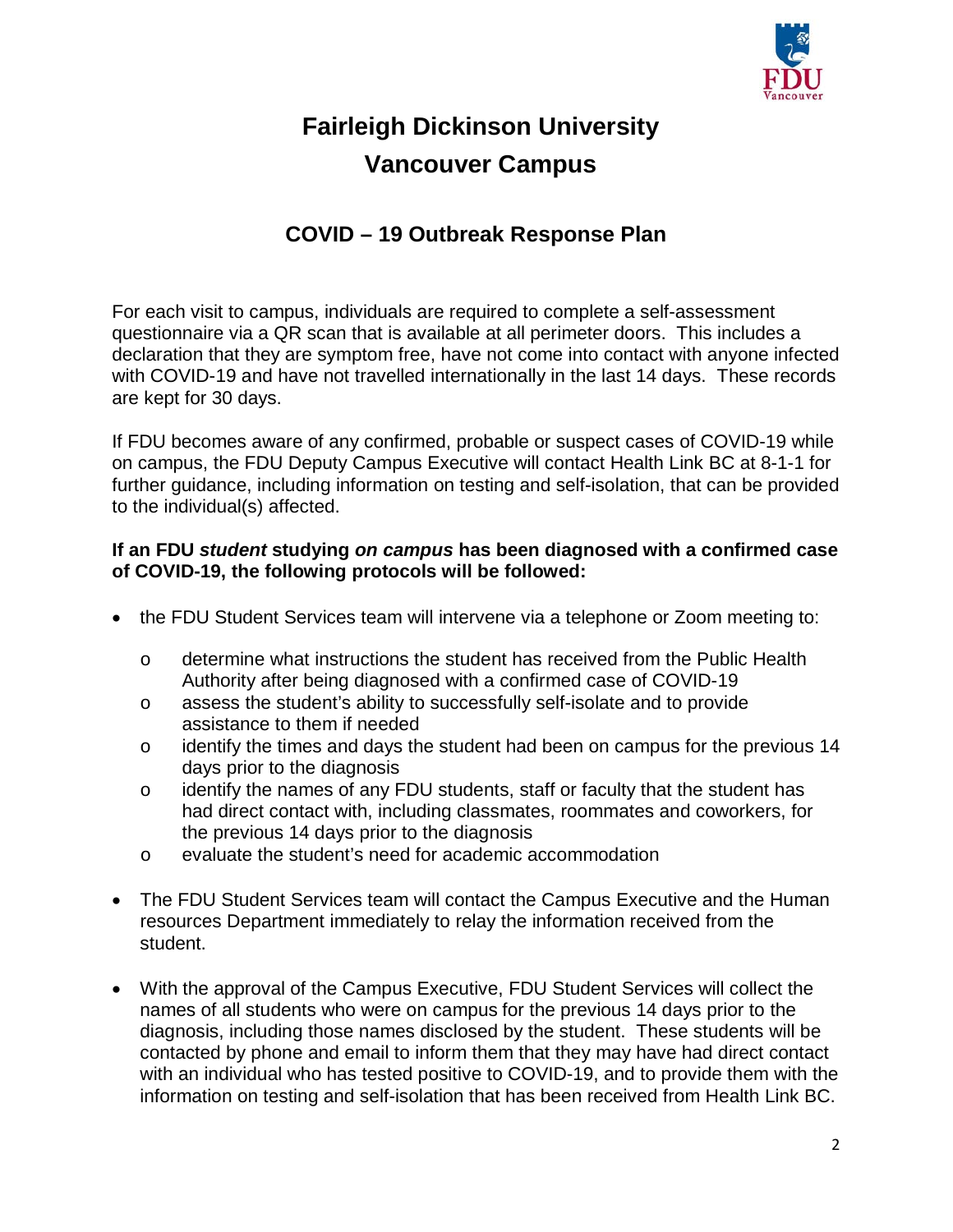

# **Fairleigh Dickinson University Vancouver Campus**

### **COVID – 19 Outbreak Response Plan**

For each visit to campus, individuals are required to complete a self-assessment questionnaire via a QR scan that is available at all perimeter doors. This includes a declaration that they are symptom free, have not come into contact with anyone infected with COVID-19 and have not travelled internationally in the last 14 days. These records are kept for 30 days.

If FDU becomes aware of any confirmed, probable or suspect cases of COVID-19 while on campus, the FDU Deputy Campus Executive will contact Health Link BC at 8-1-1 for further guidance, including information on testing and self-isolation, that can be provided to the individual(s) affected.

#### **If an FDU** *student* **studying** *on campus* **has been diagnosed with a confirmed case of COVID-19, the following protocols will be followed:**

- the FDU Student Services team will intervene via a telephone or Zoom meeting to:
	- o determine what instructions the student has received from the Public Health Authority after being diagnosed with a confirmed case of COVID-19
	- o assess the student's ability to successfully self-isolate and to provide assistance to them if needed
	- o identify the times and days the student had been on campus for the previous 14 days prior to the diagnosis
	- o identify the names of any FDU students, staff or faculty that the student has had direct contact with, including classmates, roommates and coworkers, for the previous 14 days prior to the diagnosis
	- o evaluate the student's need for academic accommodation
- The FDU Student Services team will contact the Campus Executive and the Human resources Department immediately to relay the information received from the student.
- With the approval of the Campus Executive, FDU Student Services will collect the names of all students who were on campus for the previous 14 days prior to the diagnosis, including those names disclosed by the student. These students will be contacted by phone and email to inform them that they may have had direct contact with an individual who has tested positive to COVID-19, and to provide them with the information on testing and self-isolation that has been received from Health Link BC.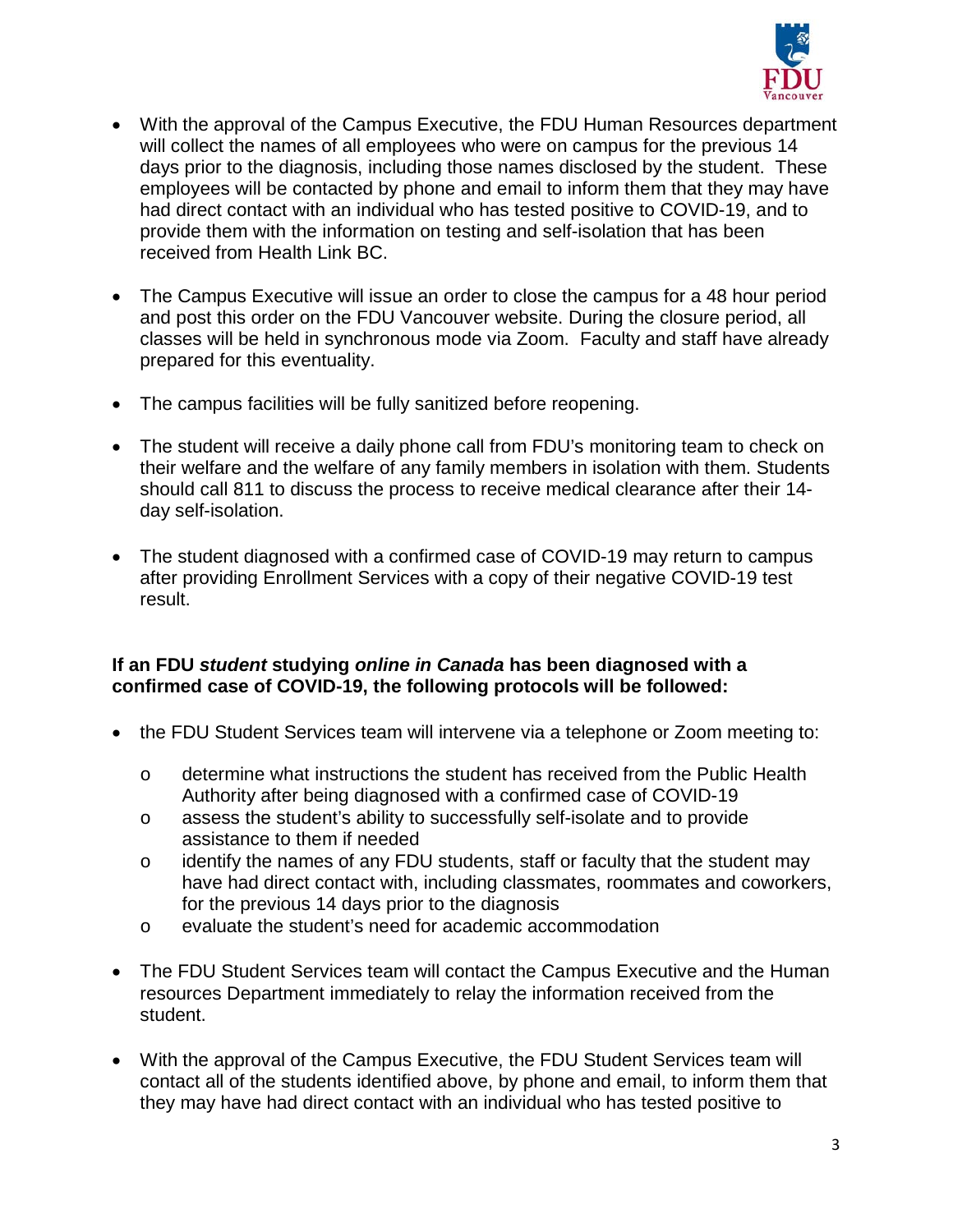

- With the approval of the Campus Executive, the FDU Human Resources department will collect the names of all employees who were on campus for the previous 14 days prior to the diagnosis, including those names disclosed by the student. These employees will be contacted by phone and email to inform them that they may have had direct contact with an individual who has tested positive to COVID-19, and to provide them with the information on testing and self-isolation that has been received from Health Link BC.
- The Campus Executive will issue an order to close the campus for a 48 hour period and post this order on the FDU Vancouver website. During the closure period, all classes will be held in synchronous mode via Zoom. Faculty and staff have already prepared for this eventuality.
- The campus facilities will be fully sanitized before reopening.
- The student will receive a daily phone call from FDU's monitoring team to check on their welfare and the welfare of any family members in isolation with them. Students should call 811 to discuss the process to receive medical clearance after their 14 day self-isolation.
- The student diagnosed with a confirmed case of COVID-19 may return to campus after providing Enrollment Services with a copy of their negative COVID-19 test result.

#### **If an FDU** *student* **studying** *online in Canada* **has been diagnosed with a confirmed case of COVID-19, the following protocols will be followed:**

- the FDU Student Services team will intervene via a telephone or Zoom meeting to:
	- o determine what instructions the student has received from the Public Health Authority after being diagnosed with a confirmed case of COVID-19
	- o assess the student's ability to successfully self-isolate and to provide assistance to them if needed
	- o identify the names of any FDU students, staff or faculty that the student may have had direct contact with, including classmates, roommates and coworkers, for the previous 14 days prior to the diagnosis
	- o evaluate the student's need for academic accommodation
- The FDU Student Services team will contact the Campus Executive and the Human resources Department immediately to relay the information received from the student.
- With the approval of the Campus Executive, the FDU Student Services team will contact all of the students identified above, by phone and email, to inform them that they may have had direct contact with an individual who has tested positive to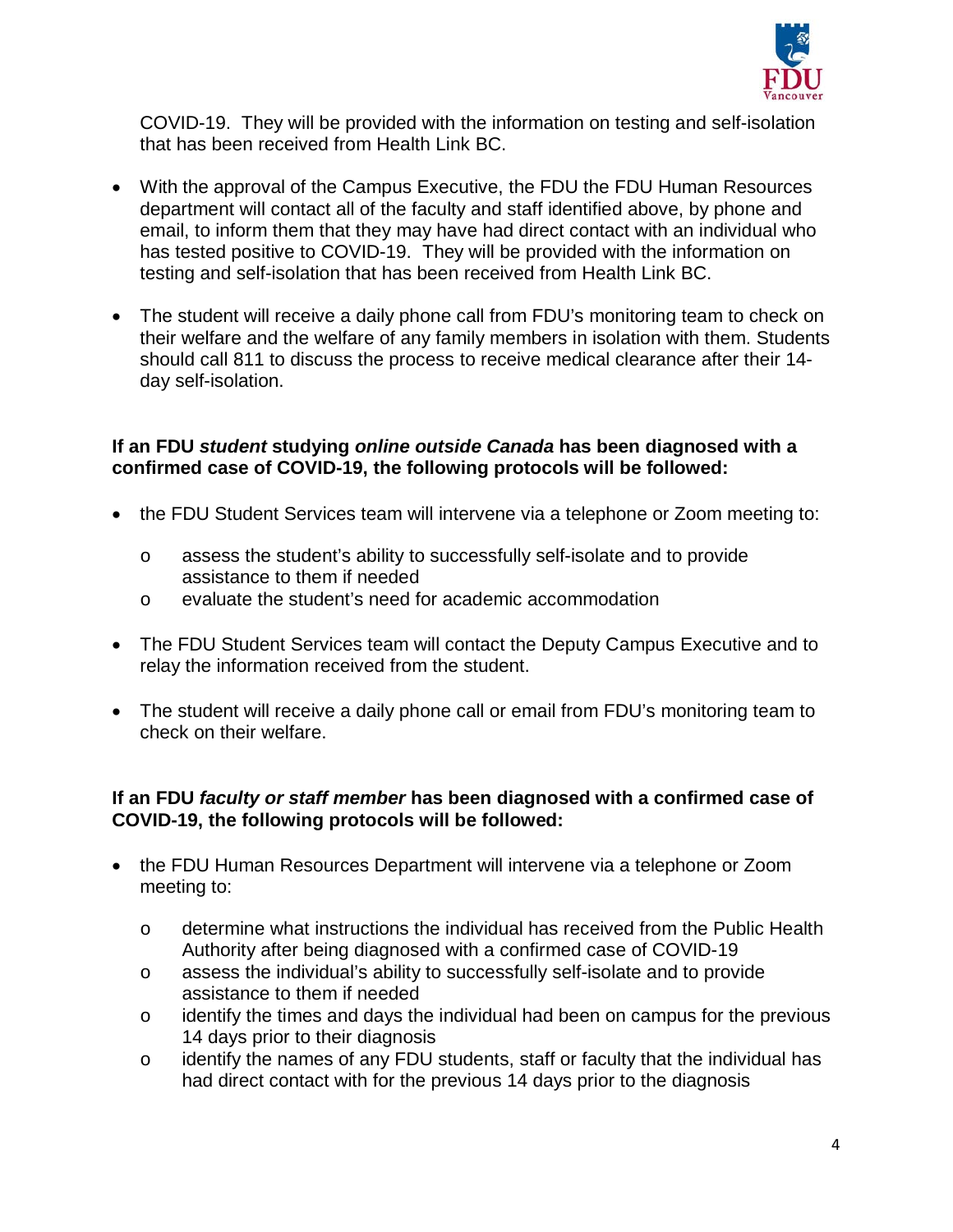

COVID-19. They will be provided with the information on testing and self-isolation that has been received from Health Link BC.

- With the approval of the Campus Executive, the FDU the FDU Human Resources department will contact all of the faculty and staff identified above, by phone and email, to inform them that they may have had direct contact with an individual who has tested positive to COVID-19. They will be provided with the information on testing and self-isolation that has been received from Health Link BC.
- The student will receive a daily phone call from FDU's monitoring team to check on their welfare and the welfare of any family members in isolation with them. Students should call 811 to discuss the process to receive medical clearance after their 14 day self-isolation.

#### **If an FDU** *student* **studying** *online outside Canada* **has been diagnosed with a confirmed case of COVID-19, the following protocols will be followed:**

- the FDU Student Services team will intervene via a telephone or Zoom meeting to:
	- o assess the student's ability to successfully self-isolate and to provide assistance to them if needed
	- o evaluate the student's need for academic accommodation
- The FDU Student Services team will contact the Deputy Campus Executive and to relay the information received from the student.
- The student will receive a daily phone call or email from FDU's monitoring team to check on their welfare.

#### **If an FDU** *faculty or staff member* **has been diagnosed with a confirmed case of COVID-19, the following protocols will be followed:**

- the FDU Human Resources Department will intervene via a telephone or Zoom meeting to:
	- o determine what instructions the individual has received from the Public Health Authority after being diagnosed with a confirmed case of COVID-19
	- o assess the individual's ability to successfully self-isolate and to provide assistance to them if needed
	- o identify the times and days the individual had been on campus for the previous 14 days prior to their diagnosis
	- o identify the names of any FDU students, staff or faculty that the individual has had direct contact with for the previous 14 days prior to the diagnosis